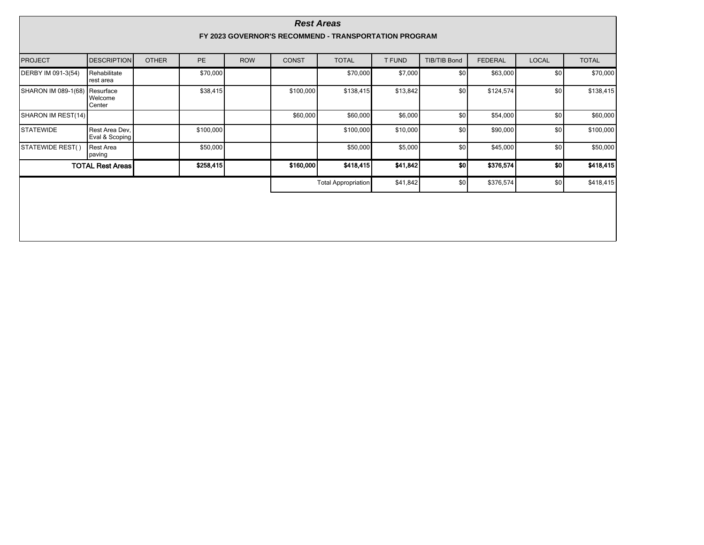| <b>Rest Areas</b>                                     |                                  |              |           |                            |              |              |               |              |                |              |              |
|-------------------------------------------------------|----------------------------------|--------------|-----------|----------------------------|--------------|--------------|---------------|--------------|----------------|--------------|--------------|
| FY 2023 GOVERNOR'S RECOMMEND - TRANSPORTATION PROGRAM |                                  |              |           |                            |              |              |               |              |                |              |              |
| <b>PROJECT</b>                                        | <b>DESCRIPTION</b>               | <b>OTHER</b> | PE        | <b>ROW</b>                 | <b>CONST</b> | <b>TOTAL</b> | <b>T FUND</b> | TIB/TIB Bond | <b>FEDERAL</b> | <b>LOCAL</b> | <b>TOTAL</b> |
| DERBY IM 091-3(54)                                    | Rehabilitate<br>rest area        |              | \$70,000  |                            |              | \$70,000     | \$7,000       | \$0          | \$63,000       | \$0          | \$70,000     |
| SHARON IM 089-1(68) Resurface                         | Welcome<br>Center                |              | \$38,415  |                            | \$100,000    | \$138,415    | \$13,842      | \$0          | \$124,574      | \$0          | \$138,415    |
| SHARON IM REST(14)                                    |                                  |              |           |                            | \$60,000     | \$60,000     | \$6,000       | \$0          | \$54,000       | \$0          | \$60,000     |
| <b>STATEWIDE</b>                                      | Rest Area Dev,<br>Eval & Scoping |              | \$100,000 |                            |              | \$100,000    | \$10,000      | \$0          | \$90,000       | \$0          | \$100,000    |
| STATEWIDE REST()                                      | Rest Area<br>paving              |              | \$50,000  |                            |              | \$50,000     | \$5,000       | \$0          | \$45,000       | \$0          | \$50,000     |
| <b>TOTAL Rest Areas</b>                               |                                  |              | \$258,415 |                            | \$160,000    | \$418,415    | \$41,842      | 50           | \$376,574      | 50           | \$418,415    |
|                                                       |                                  |              |           | <b>Total Appropriation</b> | \$41,842     | \$0          | \$376,574     | \$0          | \$418,415      |              |              |
|                                                       |                                  |              |           |                            |              |              |               |              |                |              |              |
|                                                       |                                  |              |           |                            |              |              |               |              |                |              |              |
|                                                       |                                  |              |           |                            |              |              |               |              |                |              |              |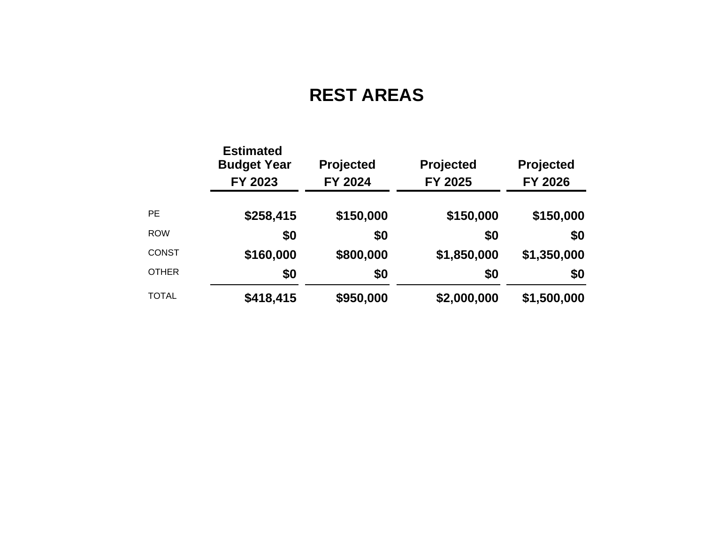## **REST AREAS**

|              | <b>Estimated</b><br><b>Budget Year</b><br>FY 2023 | <b>Projected</b><br>FY 2024 | Projected<br>FY 2025 | Projected<br>FY 2026 |  |  |
|--------------|---------------------------------------------------|-----------------------------|----------------------|----------------------|--|--|
| <b>PE</b>    | \$258,415                                         | \$150,000                   | \$150,000            | \$150,000            |  |  |
| <b>ROW</b>   | \$0                                               | \$0                         | \$0                  | \$0                  |  |  |
| <b>CONST</b> | \$160,000                                         | \$800,000                   | \$1,850,000          | \$1,350,000          |  |  |
| <b>OTHER</b> | \$0                                               | \$0                         | \$0                  | \$0                  |  |  |
| <b>TOTAL</b> | \$418,415                                         | \$950,000                   | \$2,000,000          | \$1,500,000          |  |  |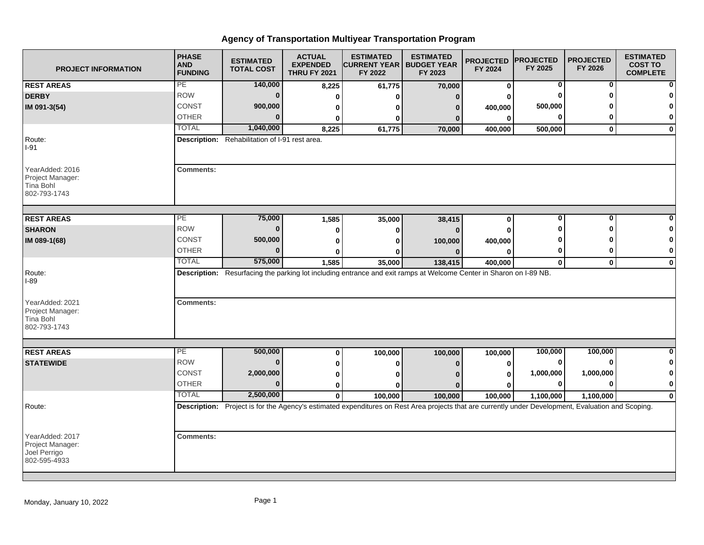## **Agency of Transportation Multiyear Transportation Program**

| <b>PROJECT INFORMATION</b>                                          | <b>PHASE</b><br><b>AND</b><br><b>FUNDING</b>                                                                       | <b>ESTIMATED</b><br><b>TOTAL COST</b>                                                                                                               | <b>ACTUAL</b><br><b>EXPENDED</b><br><b>THRU FY 2021</b> | <b>ESTIMATED</b><br><b>ICURRENT YEAR   BUDGET YEAR</b><br>FY 2022 | <b>ESTIMATED</b><br>FY 2023 | <b>PROJECTED</b><br>FY 2024 | <b>PROJECTED</b><br>FY 2025 | <b>PROJECTED</b><br>FY 2026 | <b>ESTIMATED</b><br><b>COST TO</b><br><b>COMPLETE</b> |
|---------------------------------------------------------------------|--------------------------------------------------------------------------------------------------------------------|-----------------------------------------------------------------------------------------------------------------------------------------------------|---------------------------------------------------------|-------------------------------------------------------------------|-----------------------------|-----------------------------|-----------------------------|-----------------------------|-------------------------------------------------------|
| <b>REST AREAS</b>                                                   | PE                                                                                                                 | 140,000                                                                                                                                             | 8,225                                                   | 61,775                                                            | 70,000                      | 0                           | $\mathbf 0$                 | $\bf{0}$                    |                                                       |
| <b>DERBY</b>                                                        | <b>ROW</b>                                                                                                         | $\bf{0}$                                                                                                                                            | 0                                                       |                                                                   |                             | 0                           | ŋ                           | ŋ                           |                                                       |
| IM 091-3(54)                                                        | <b>CONST</b>                                                                                                       | 900,000                                                                                                                                             | 0                                                       |                                                                   |                             | 400,000                     | 500,000                     |                             |                                                       |
|                                                                     | <b>OTHER</b>                                                                                                       |                                                                                                                                                     | 0                                                       | ŋ                                                                 | $\Omega$                    | $\bf{0}$                    | 0                           | 0                           | 0                                                     |
|                                                                     | <b>TOTAL</b>                                                                                                       | 1,040,000                                                                                                                                           | 8,225                                                   | 61,775                                                            | 70,000                      | 400,000                     | 500,000                     | 0                           | $\mathbf 0$                                           |
| Route:<br>$I-91$                                                    | Description: Rehabilitation of I-91 rest area.                                                                     |                                                                                                                                                     |                                                         |                                                                   |                             |                             |                             |                             |                                                       |
| YearAdded: 2016<br>Project Manager:<br>Tina Bohl<br>802-793-1743    | <b>Comments:</b>                                                                                                   |                                                                                                                                                     |                                                         |                                                                   |                             |                             |                             |                             |                                                       |
| <b>REST AREAS</b>                                                   | PE                                                                                                                 | 75,000                                                                                                                                              | 1,585                                                   | 35,000                                                            | 38,415                      | 0                           | $\overline{\mathbf{0}}$     | $\overline{0}$              | O                                                     |
| <b>SHARON</b>                                                       | <b>ROW</b>                                                                                                         | $\Omega$                                                                                                                                            | 0                                                       | ŋ                                                                 |                             | O                           | Ω                           | Λ                           |                                                       |
| IM 089-1(68)                                                        | <b>CONST</b>                                                                                                       | 500,000                                                                                                                                             | 0                                                       | o                                                                 | 100,000                     | 400,000                     |                             |                             | 0                                                     |
|                                                                     | <b>OTHER</b>                                                                                                       |                                                                                                                                                     | O                                                       |                                                                   |                             | ŋ                           | 0                           | 0                           | 0                                                     |
|                                                                     | <b>TOTAL</b>                                                                                                       | 575,000                                                                                                                                             | 1,585                                                   | 35,000                                                            | 138,415                     | 400,000                     | $\mathbf 0$                 | $\mathbf{0}$                | $\bf{0}$                                              |
| Route:<br>$I-89$                                                    | Description: Resurfacing the parking lot including entrance and exit ramps at Welcome Center in Sharon on I-89 NB. |                                                                                                                                                     |                                                         |                                                                   |                             |                             |                             |                             |                                                       |
| YearAdded: 2021<br>Project Manager:<br>Tina Bohl<br>802-793-1743    | <b>Comments:</b>                                                                                                   |                                                                                                                                                     |                                                         |                                                                   |                             |                             |                             |                             |                                                       |
| <b>REST AREAS</b>                                                   | PE                                                                                                                 | 500,000                                                                                                                                             | 0                                                       | 100,000                                                           | 100,000                     | 100,000                     | 100,000                     | 100,000                     | $\bf{0}$                                              |
| <b>STATEWIDE</b>                                                    | <b>ROW</b>                                                                                                         | $\Omega$                                                                                                                                            | 0                                                       | 0                                                                 |                             | 0                           | 0                           | <sup>0</sup>                | 0                                                     |
|                                                                     | <b>CONST</b>                                                                                                       | 2,000,000                                                                                                                                           | 0                                                       |                                                                   |                             | 0                           | 1,000,000                   | 1,000,000                   | 0                                                     |
|                                                                     | <b>OTHER</b>                                                                                                       | $\bf{0}$                                                                                                                                            | 0                                                       |                                                                   |                             | $\bf{0}$                    | $\bf{0}$                    | $\bf{0}$                    | $\bf{0}$                                              |
|                                                                     | <b>TOTAL</b>                                                                                                       | 2,500,000                                                                                                                                           | $\mathbf{0}$                                            | 100,000                                                           | 100,000                     | 100,000                     | 1,100,000                   | 1,100,000                   | $\bf{0}$                                              |
| Route:                                                              |                                                                                                                    | Description: Project is for the Agency's estimated expenditures on Rest Area projects that are currently under Development, Evaluation and Scoping. |                                                         |                                                                   |                             |                             |                             |                             |                                                       |
| YearAdded: 2017<br>Project Manager:<br>Joel Perrigo<br>802-595-4933 | <b>Comments:</b>                                                                                                   |                                                                                                                                                     |                                                         |                                                                   |                             |                             |                             |                             |                                                       |